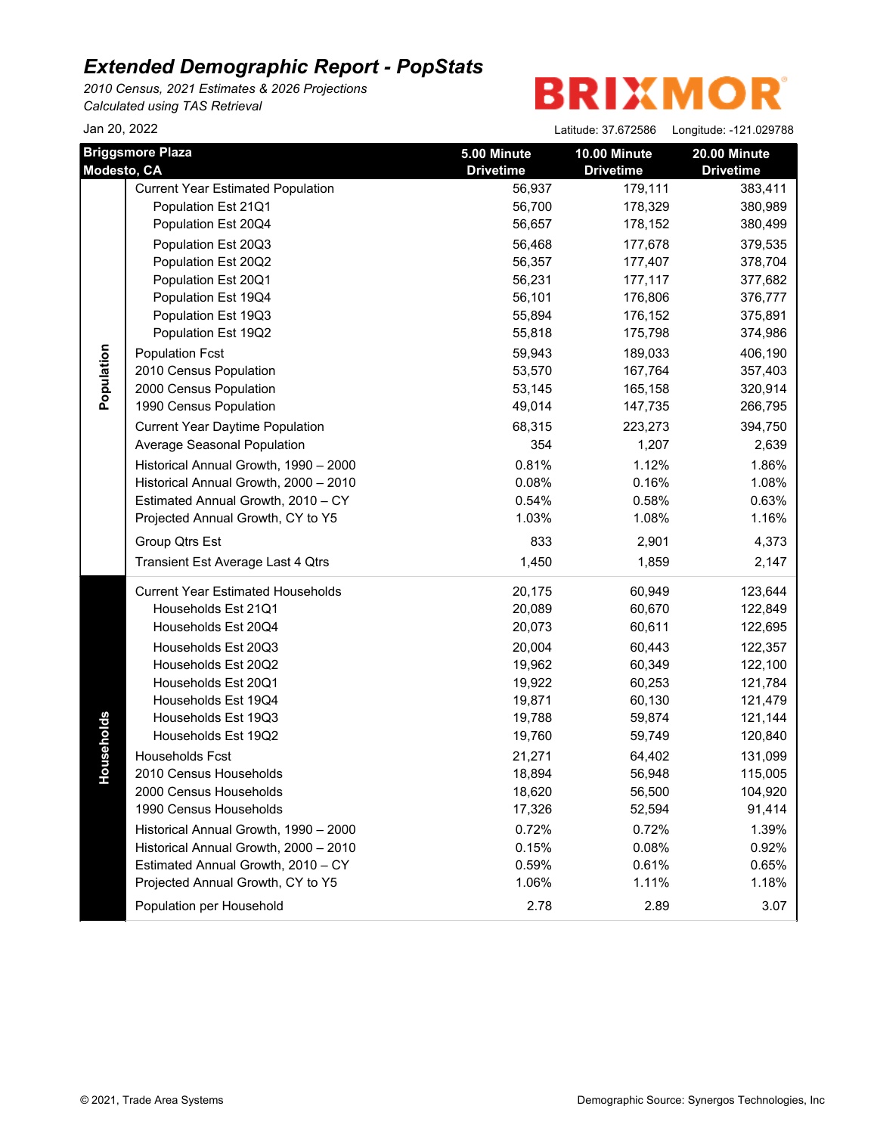*2010 Census, 2021 Estimates & 2026 Projections Calculated using TAS Retrieval*

| Jan 20, 2022 |                                          |                  | Latitude: 37.672586 | Longitude: -121.029788 |
|--------------|------------------------------------------|------------------|---------------------|------------------------|
|              | <b>Briggsmore Plaza</b>                  | 5.00 Minute      | 10.00 Minute        | 20.00 Minute           |
| Modesto, CA  |                                          | <b>Drivetime</b> | <b>Drivetime</b>    | <b>Drivetime</b>       |
|              | <b>Current Year Estimated Population</b> | 56,937           | 179,111             | 383,411                |
|              | Population Est 21Q1                      | 56,700           | 178,329             | 380,989                |
|              | Population Est 20Q4                      | 56,657           | 178,152             | 380,499                |
|              | Population Est 20Q3                      | 56,468           | 177,678             | 379,535                |
|              | Population Est 20Q2                      | 56,357           | 177,407             | 378,704                |
|              | Population Est 20Q1                      | 56,231           | 177,117             | 377,682                |
|              | Population Est 19Q4                      | 56,101           | 176,806             | 376,777                |
|              | Population Est 19Q3                      | 55,894           | 176,152             | 375,891                |
|              | Population Est 19Q2                      | 55,818           | 175,798             | 374,986                |
| Population   | <b>Population Fcst</b>                   | 59,943           | 189,033             | 406,190                |
|              | 2010 Census Population                   | 53,570           | 167,764             | 357,403                |
|              | 2000 Census Population                   | 53,145           | 165,158             | 320,914                |
|              | 1990 Census Population                   | 49,014           | 147,735             | 266,795                |
|              | <b>Current Year Daytime Population</b>   | 68,315           | 223,273             | 394,750                |
|              | Average Seasonal Population              | 354              | 1,207               | 2,639                  |
|              | Historical Annual Growth, 1990 - 2000    | 0.81%            | 1.12%               | 1.86%                  |
|              | Historical Annual Growth, 2000 - 2010    | 0.08%            | 0.16%               | 1.08%                  |
|              | Estimated Annual Growth, 2010 - CY       | 0.54%            | 0.58%               | 0.63%                  |
|              | Projected Annual Growth, CY to Y5        | 1.03%            | 1.08%               | 1.16%                  |
|              | Group Qtrs Est                           | 833              | 2,901               | 4,373                  |
|              | Transient Est Average Last 4 Qtrs        | 1,450            | 1,859               | 2,147                  |
|              | <b>Current Year Estimated Households</b> | 20,175           | 60,949              | 123,644                |
|              | Households Est 21Q1                      | 20,089           | 60,670              | 122,849                |
|              | Households Est 20Q4                      | 20,073           | 60,611              | 122,695                |
|              | Households Est 20Q3                      | 20,004           | 60,443              | 122,357                |
|              | Households Est 20Q2                      | 19,962           | 60,349              | 122,100                |
|              | Households Est 20Q1                      | 19,922           | 60,253              | 121,784                |
|              | Households Est 19Q4                      | 19,871           | 60,130              | 121,479                |
|              | Households Est 19Q3                      | 19,788           | 59,874              | 121,144                |
| seholds      | Households Est 19Q2                      | 19,760           | 59,749              | 120,840                |
|              | <b>Households Fcst</b>                   | 21,271           | 64,402              | 131,099                |
| 유            | 2010 Census Households                   | 18,894           | 56,948              | 115,005                |
|              | 2000 Census Households                   | 18,620           | 56,500              | 104,920                |
|              | 1990 Census Households                   | 17,326           | 52,594              | 91,414                 |
|              | Historical Annual Growth, 1990 - 2000    | 0.72%            | 0.72%               | 1.39%                  |
|              | Historical Annual Growth, 2000 - 2010    | 0.15%            | 0.08%               | 0.92%                  |
|              | Estimated Annual Growth, 2010 - CY       | 0.59%            | 0.61%               | 0.65%                  |
|              | Projected Annual Growth, CY to Y5        | 1.06%            | 1.11%               | 1.18%                  |
|              | Population per Household                 | 2.78             | 2.89                | 3.07                   |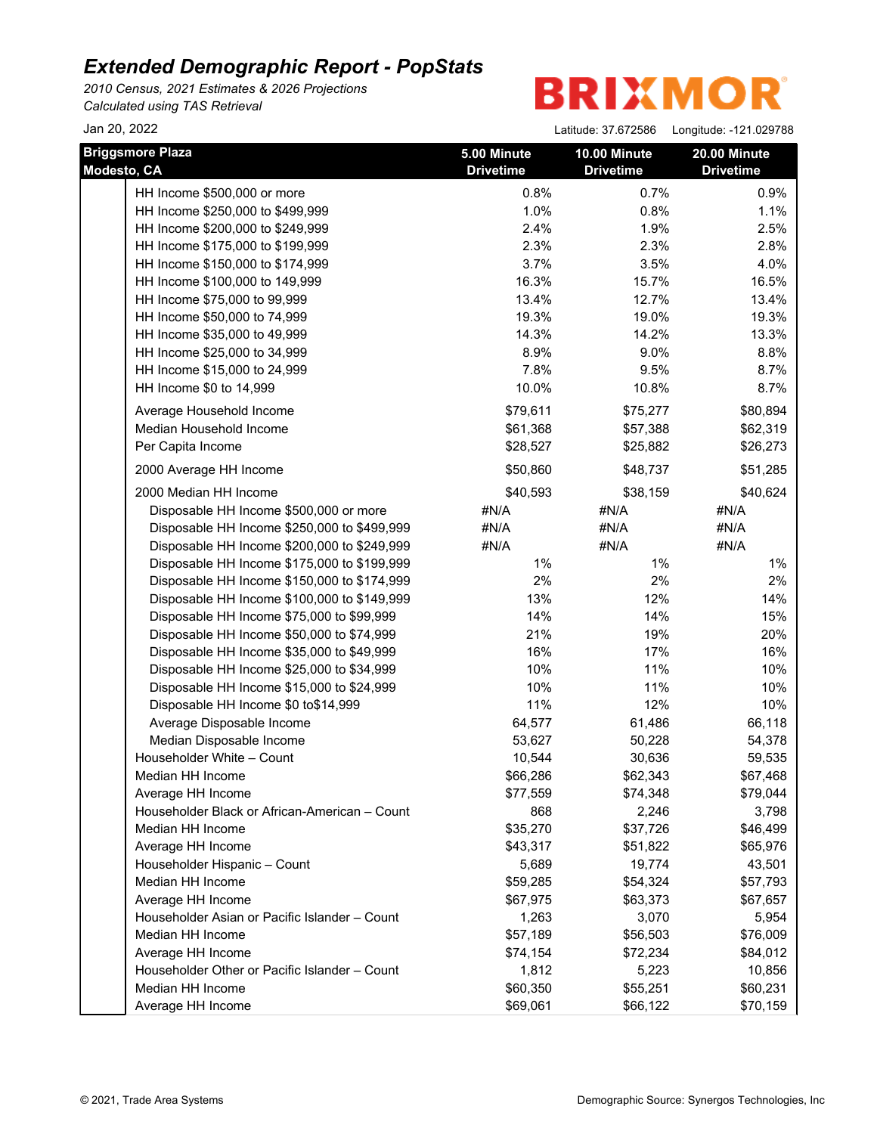*2010 Census, 2021 Estimates & 2026 Projections Calculated using TAS Retrieval*

## **BRIXMOR**

HH Income \$500,000 or more 0.8% 0.8% 0.7% 0.9% 0.9% HH Income \$250,000 to \$499,999 1.0% 1.0% 1.0% 0.8% 1.1% HH Income \$200,000 to \$249,999 2.4% 2.4% 2.4% 1.9% 2.5% HH Income \$175,000 to \$199,999 2.3% 2.3% 2.8% HH Income \$150,000 to \$174,999 3.7% 3.7% 3.5% 4.0% HH Income \$100,000 to 149,999 16.3% 16.3% 15.7% 16.5% HH Income \$75,000 to 99,999 13.4% 13.4% 12.7% 13.4% HH Income \$50,000 to 74,999 19.3% 19.3% 19.0% 19.0% 19.3% HH Income \$35,000 to 49,999 14.3% 14.3% 14.2% 13.3% HH Income \$25,000 to 34,999 8.8% 8.9% 8.9% 9.0% 8.8% HH Income \$15,000 to 24,999 **8.7%** 7.8% 9.5% 8.7% HH Income \$0 to 14,999 **10.0%** 10.0% 10.8% 8.7% Average Household Income **620, 894** \$79,611 \$75,277 \$80,894 Median Household Income 662,319 \$61,368 \$57,388 \$62,319 Per Capita Income  $$28,527$   $$25,882$   $$26,273$ 2000 Average HH Income **\$50,860** \$48,737 \$51,285 2000 Median HH Income **\$40,624** \$40,624 \$40,624 \$40,624 Disposable HH Income \$500,000 or more #N/A #N/A #N/A #N/A #N/A Disposable HH Income \$250,000 to \$499,999  $\#N/A$   $\#N/A$   $\#N/A$   $\#N/A$ Disposable HH Income \$200,000 to \$249,999  $\#N/A$   $\#N/A$   $\#N/A$   $\#N/A$ Disposable HH Income \$175,000 to \$199,999 1% 1% 1% 1% 1% 1% 1% Disposable HH Income \$150,000 to \$174,999 2% 2% 2% Disposable HH Income \$100,000 to \$149,999 13% 13% 12% 14% 12% Disposable HH Income \$75,000 to \$99,999 14% 14% 14% 15% 15% Disposable HH Income \$50,000 to \$74,999 21% 19% 20% Disposable HH Income \$35,000 to \$49,999 16% 16% 17% 16% 17% 16% Disposable HH Income \$25,000 to \$34,999 10% 10% 11% 10% 10% 10% Disposable HH Income \$15,000 to \$24,999 10% 10% 11% 10% 11% 10% 10% Disposable HH Income \$0 to\$14,999 10 11% 11% 12% 10% 10% Average Disposable Income 64,577 61,486 66,118 Median Disposable Income 63,627 50,228 54,378 Householder White – Count 10,544 30,636 59,535 Median HH Income \$66,286 \$62,343 \$67,468 Average HH Income  $$77,559$   $$74,348$   $$79,044$ Householder Black or African-American – Count 668 2,246 3,798 Median HH Income \$35,270 \$37,726 \$46,499 Average HH Income  $$43,317$   $$51,822$   $$65,976$ Householder Hispanic – Count 19,774 43,501 Median HH Income \$59,285 \$54,324 \$57,793 Average HH Income \$67,975 \$63,373 \$67,657 Householder Asian or Pacific Islander – Count 1,263 3,070 5,954 Median HH Income  $$57,189$   $$58,503$   $$76,009$ Average HH Income \$74,154 \$72,234 \$84,012 Householder Other or Pacific Islander – Count 1,812 5,223 10,856 Median HH Income \$60,231 \$60,231 \$60,231 \$60,231 Average HH Income  $$69,061$   $$69,061$   $$66,122$   $$70,159$ Jan 20, 2022 Latitude: 37.672586 Longitude: -121.029788 **Briggsmore Plaza 5.00 Minute Drivetime 10.00 Minute Drivetime 20.00 Minute Modesto, CA Drivetime Drivetime Drivetime Drivetime Drivetime**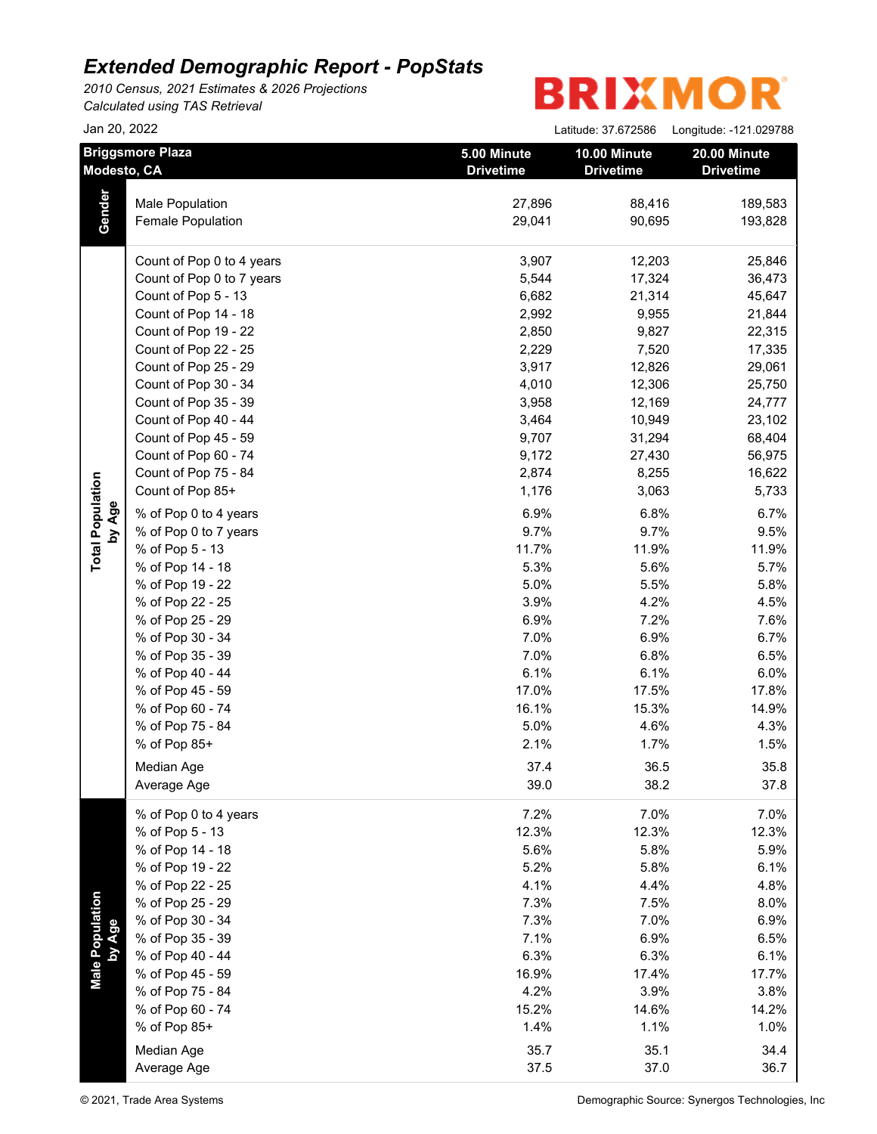*2010 Census, 2021 Estimates & 2026 Projections Calculated using TAS Retrieval*

| Jan 20, 2022              |                                      |                                 | Latitude: 37.672586<br>Longitude: - 121.029788 |                                  |  |
|---------------------------|--------------------------------------|---------------------------------|------------------------------------------------|----------------------------------|--|
| Modesto, CA               | <b>Briggsmore Plaza</b>              | 5.00 Minute<br><b>Drivetime</b> | 10.00 Minute<br><b>Drivetime</b>               | 20.00 Minute<br><b>Drivetime</b> |  |
| Gender                    | Male Population<br>Female Population | 27,896<br>29,041                | 88,416<br>90,695                               | 189,583<br>193,828               |  |
|                           | Count of Pop 0 to 4 years            | 3,907                           | 12,203                                         | 25,846                           |  |
|                           | Count of Pop 0 to 7 years            | 5,544                           | 17,324                                         | 36,473                           |  |
|                           | Count of Pop 5 - 13                  | 6,682                           | 21,314                                         | 45,647                           |  |
|                           | Count of Pop 14 - 18                 | 2,992                           | 9,955                                          | 21,844                           |  |
|                           | Count of Pop 19 - 22                 | 2,850                           | 9,827                                          | 22,315                           |  |
|                           | Count of Pop 22 - 25                 | 2,229                           | 7,520                                          | 17,335                           |  |
|                           | Count of Pop 25 - 29                 | 3,917                           | 12,826                                         | 29,061                           |  |
|                           | Count of Pop 30 - 34                 | 4,010                           | 12,306                                         | 25,750                           |  |
|                           | Count of Pop 35 - 39                 | 3,958                           | 12,169                                         | 24,777                           |  |
|                           | Count of Pop 40 - 44                 | 3,464                           | 10,949                                         | 23,102                           |  |
|                           | Count of Pop 45 - 59                 | 9,707                           | 31,294                                         | 68,404                           |  |
|                           | Count of Pop 60 - 74                 | 9,172                           | 27,430                                         | 56,975                           |  |
|                           | Count of Pop 75 - 84                 | 2,874                           | 8,255                                          | 16,622                           |  |
| <b>Total Population</b>   | Count of Pop 85+                     | 1,176                           | 3,063                                          | 5,733                            |  |
| by Age                    | % of Pop 0 to 4 years                | 6.9%                            | 6.8%                                           | 6.7%                             |  |
|                           | % of Pop 0 to 7 years                | 9.7%                            | 9.7%                                           | 9.5%                             |  |
|                           | % of Pop 5 - 13                      | 11.7%                           | 11.9%                                          | 11.9%                            |  |
|                           | % of Pop 14 - 18                     | 5.3%                            | 5.6%                                           | 5.7%                             |  |
|                           | % of Pop 19 - 22                     | 5.0%                            | 5.5%                                           | 5.8%                             |  |
|                           | % of Pop 22 - 25                     | 3.9%                            | 4.2%                                           | 4.5%                             |  |
|                           | % of Pop 25 - 29                     | 6.9%                            | 7.2%                                           | 7.6%                             |  |
|                           | % of Pop 30 - 34                     | 7.0%                            | 6.9%                                           | 6.7%                             |  |
|                           | % of Pop 35 - 39                     | 7.0%                            | 6.8%                                           | 6.5%                             |  |
|                           | % of Pop 40 - 44                     | 6.1%                            | 6.1%                                           | 6.0%                             |  |
|                           | % of Pop 45 - 59                     | 17.0%                           | 17.5%                                          | 17.8%                            |  |
|                           | % of Pop 60 - 74                     | 16.1%                           | 15.3%                                          | 14.9%                            |  |
|                           | % of Pop 75 - 84                     | 5.0%                            | 4.6%                                           | 4.3%                             |  |
|                           | % of Pop 85+                         | 2.1%                            | 1.7%                                           | 1.5%                             |  |
|                           | Median Age                           | 37.4                            | 36.5                                           | 35.8                             |  |
|                           | Average Age                          | 39.0                            | 38.2                                           | 37.8                             |  |
|                           | % of Pop 0 to 4 years                | 7.2%                            | 7.0%                                           | 7.0%                             |  |
|                           | % of Pop 5 - 13                      | 12.3%                           | 12.3%                                          | 12.3%                            |  |
|                           | % of Pop 14 - 18                     | 5.6%                            | 5.8%                                           | 5.9%                             |  |
|                           | % of Pop 19 - 22                     | 5.2%                            | 5.8%                                           | 6.1%                             |  |
|                           | % of Pop 22 - 25                     | 4.1%                            | 4.4%                                           | 4.8%                             |  |
|                           | % of Pop 25 - 29                     | 7.3%                            | 7.5%                                           | 8.0%                             |  |
|                           | % of Pop 30 - 34                     | 7.3%                            | 7.0%                                           | 6.9%                             |  |
| Male Population<br>by Age | % of Pop 35 - 39                     | 7.1%                            | 6.9%                                           | 6.5%                             |  |
|                           | % of Pop 40 - 44                     | 6.3%                            | 6.3%                                           | 6.1%                             |  |
|                           | % of Pop 45 - 59                     | 16.9%                           | 17.4%                                          | 17.7%                            |  |
|                           | % of Pop 75 - 84                     | 4.2%                            | 3.9%                                           | 3.8%                             |  |
|                           | % of Pop 60 - 74                     | 15.2%                           | 14.6%                                          | 14.2%                            |  |
|                           | % of Pop 85+                         | 1.4%                            | 1.1%                                           | 1.0%                             |  |
|                           |                                      |                                 |                                                |                                  |  |
|                           | Median Age                           | 35.7                            | 35.1                                           | 34.4                             |  |
|                           | Average Age                          | 37.5                            | 37.0                                           | 36.7                             |  |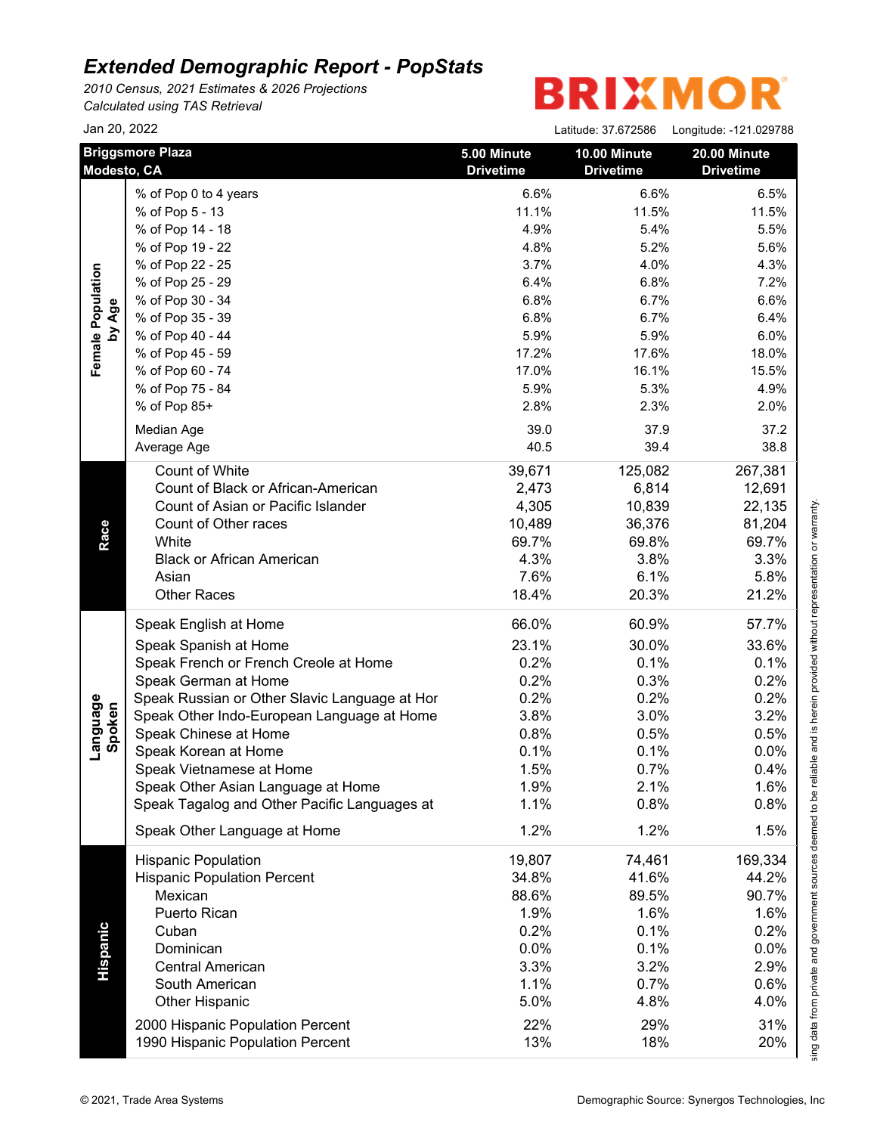*2010 Census, 2021 Estimates & 2026 Projections Calculated using TAS Retrieval*

# **BRIXMOR®**

|                    | Jan 20, 2022                                                         |                                 | Latitude: 37.672586              | Longitude: -121.029788           |
|--------------------|----------------------------------------------------------------------|---------------------------------|----------------------------------|----------------------------------|
|                    | <b>Briggsmore Plaza</b><br>Modesto, CA                               | 5.00 Minute<br><b>Drivetime</b> | 10.00 Minute<br><b>Drivetime</b> | 20.00 Minute<br><b>Drivetime</b> |
|                    | % of Pop 0 to 4 years                                                | 6.6%                            | 6.6%                             | 6.5%                             |
|                    | % of Pop 5 - 13                                                      | 11.1%                           | 11.5%                            | 11.5%                            |
|                    | % of Pop 14 - 18                                                     | 4.9%                            | 5.4%                             | 5.5%                             |
|                    | % of Pop 19 - 22                                                     | 4.8%                            | 5.2%                             | 5.6%                             |
|                    | % of Pop 22 - 25                                                     | 3.7%                            | 4.0%                             | 4.3%                             |
|                    | % of Pop 25 - 29                                                     | 6.4%                            | 6.8%                             | 7.2%                             |
|                    | % of Pop 30 - 34                                                     | 6.8%                            | 6.7%                             | 6.6%                             |
| by Age             | % of Pop 35 - 39                                                     | 6.8%                            | 6.7%                             | 6.4%                             |
|                    | % of Pop 40 - 44                                                     | 5.9%                            | 5.9%                             | 6.0%                             |
|                    | % of Pop 45 - 59                                                     | 17.2%                           | 17.6%                            | 18.0%                            |
|                    | % of Pop 60 - 74                                                     | 17.0%                           | 16.1%                            | 15.5%                            |
|                    | % of Pop 75 - 84                                                     | 5.9%                            | 5.3%                             | 4.9%                             |
|                    | % of Pop 85+                                                         | 2.8%                            | 2.3%                             | 2.0%                             |
|                    |                                                                      | 39.0                            | 37.9                             |                                  |
|                    | Median Age                                                           |                                 |                                  | 37.2                             |
|                    | Average Age                                                          | 40.5                            | 39.4                             | 38.8                             |
|                    | <b>Count of White</b>                                                | 39,671                          | 125,082                          | 267,381                          |
|                    | Count of Black or African-American                                   | 2,473                           | 6,814                            | 12,691                           |
|                    | Count of Asian or Pacific Islander                                   | 4,305                           | 10,839                           | 22,135                           |
|                    | Count of Other races                                                 | 10,489                          | 36,376                           | 81,204                           |
|                    | White                                                                | 69.7%                           | 69.8%                            | 69.7%                            |
| Race               | <b>Black or African American</b>                                     | 4.3%                            | 3.8%                             | 3.3%                             |
|                    | Asian                                                                | 7.6%                            | 6.1%                             | 5.8%                             |
|                    | <b>Other Races</b>                                                   | 18.4%                           | 20.3%                            | 21.2%                            |
|                    | Speak English at Home                                                | 66.0%                           | 60.9%                            | 57.7%                            |
|                    | Speak Spanish at Home                                                | 23.1%                           | 30.0%                            | 33.6%                            |
|                    | Speak French or French Creole at Home                                | 0.2%                            | 0.1%                             | 0.1%                             |
|                    | Speak German at Home                                                 | 0.2%                            | 0.3%                             | 0.2%                             |
| Language<br>Spoken | Speak Russian or Other Slavic Language at Hor                        | 0.2%                            | 0.2%                             | 0.2%                             |
|                    | Speak Other Indo-European Language at Home                           | 3.8%                            | 3.0%                             | 3.2%                             |
|                    | Speak Chinese at Home                                                | 0.8%                            | 0.5%                             | 0.5%                             |
|                    | Speak Korean at Home                                                 | 0.1%                            | 0.1%                             | 0.0%                             |
|                    | Speak Vietnamese at Home                                             | 1.5%                            | 0.7%                             | 0.4%                             |
|                    | Speak Other Asian Language at Home                                   | 1.9%                            | 2.1%                             | 1.6%                             |
|                    | Speak Tagalog and Other Pacific Languages at                         | 1.1%                            | 0.8%                             | 0.8%                             |
|                    | Speak Other Language at Home                                         | 1.2%                            | 1.2%                             | 1.5%                             |
|                    | <b>Hispanic Population</b>                                           | 19,807                          | 74,461                           | 169,334                          |
|                    | <b>Hispanic Population Percent</b>                                   | 34.8%                           | 41.6%                            | 44.2%                            |
|                    | Mexican                                                              | 88.6%                           | 89.5%                            | 90.7%                            |
|                    | Puerto Rican                                                         | 1.9%                            | 1.6%                             | 1.6%                             |
|                    | Cuban                                                                | 0.2%                            | 0.1%                             | 0.2%                             |
|                    | Dominican                                                            | 0.0%                            | 0.1%                             | 0.0%                             |
|                    | <b>Central American</b>                                              | 3.3%                            | 3.2%                             | 2.9%                             |
| Hispanic           | South American                                                       | 1.1%                            | 0.7%                             | 0.6%                             |
|                    | Other Hispanic                                                       | 5.0%                            | 4.8%                             | 4.0%                             |
|                    |                                                                      |                                 |                                  |                                  |
|                    | 2000 Hispanic Population Percent<br>1990 Hispanic Population Percent | 22%<br>13%                      | 29%<br>18%                       | 31%                              |
|                    |                                                                      |                                 |                                  | 20%                              |

This report was produced using data from private and government sources deemed to be reliable and is herein provided without representation or warranty.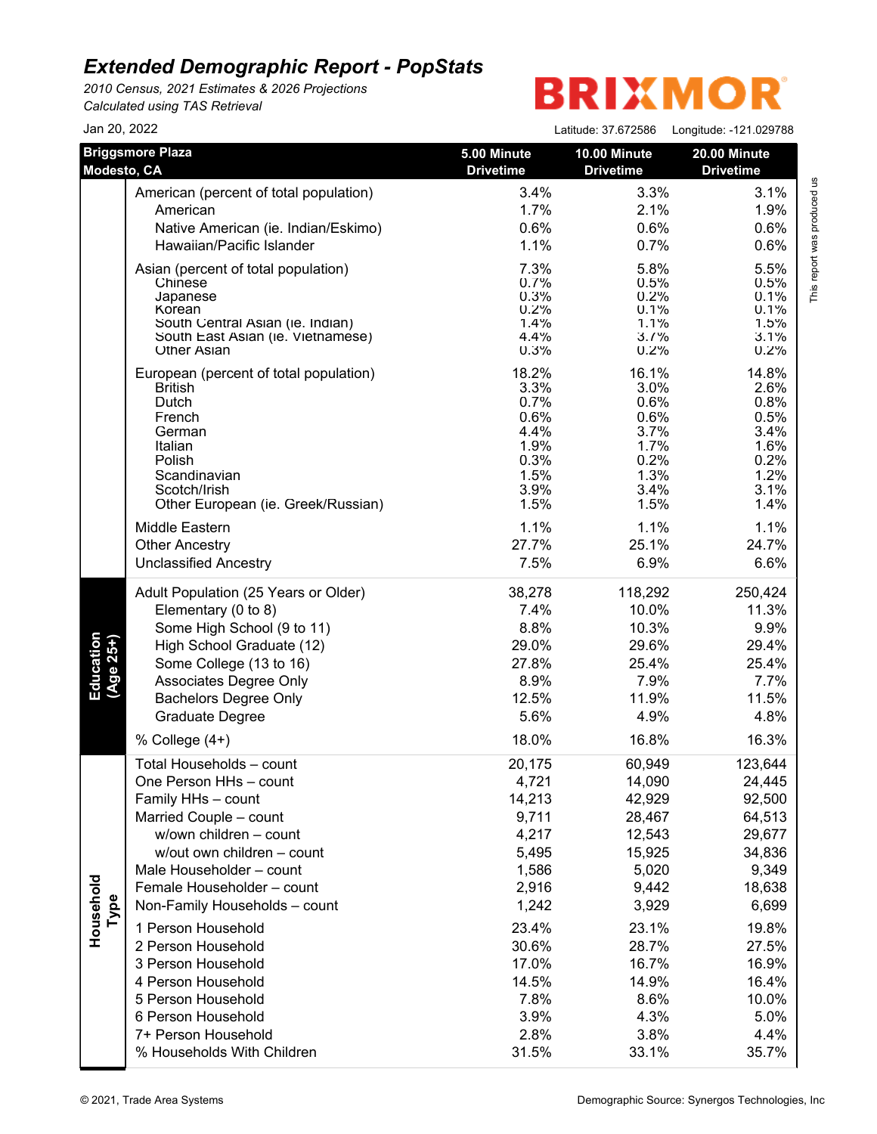*2010 Census, 2021 Estimates & 2026 Projections Calculated using TAS Retrieval*

| Jan 20, 2022             |                                                                                                                                                                                                                                                                                                                                                                                                                                                |                                                                                                                                                      |                                                                                                                                                          | Latitude: 37.672586    Longitude: -121.029788                                                                                                               |
|--------------------------|------------------------------------------------------------------------------------------------------------------------------------------------------------------------------------------------------------------------------------------------------------------------------------------------------------------------------------------------------------------------------------------------------------------------------------------------|------------------------------------------------------------------------------------------------------------------------------------------------------|----------------------------------------------------------------------------------------------------------------------------------------------------------|-------------------------------------------------------------------------------------------------------------------------------------------------------------|
| Modesto, CA              | <b>Briggsmore Plaza</b>                                                                                                                                                                                                                                                                                                                                                                                                                        | 5.00 Minute<br><b>Drivetime</b>                                                                                                                      | 10.00 Minute<br><b>Drivetime</b>                                                                                                                         | 20.00 Minute<br><b>Drivetime</b>                                                                                                                            |
|                          | American (percent of total population)<br>American<br>Native American (ie. Indian/Eskimo)<br>Hawaiian/Pacific Islander                                                                                                                                                                                                                                                                                                                         | 3.4%<br>1.7%<br>0.6%<br>1.1%                                                                                                                         | 3.3%<br>2.1%<br>0.6%<br>0.7%                                                                                                                             | 3.1%<br>1.9%<br>0.6%<br>0.6%                                                                                                                                |
|                          | Asian (percent of total population)<br>Chinese<br>Japanese<br>Korean<br>South Central Asian (ie. Indian)<br>South East Asian (ie. Vietnamese)<br><b>Other Asian</b>                                                                                                                                                                                                                                                                            | 7.3%<br>0.7%<br>0.3%<br>0.2%<br>1.4%<br>4.4%<br>0.3%                                                                                                 | 5.8%<br>0.5%<br>0.2%<br>0.1%<br>1.1%<br>3.7%<br>0.2%                                                                                                     | 5.5%<br>0.5%<br>0.1%<br>0.1%<br>1.5%<br>3.1%<br>0.2%                                                                                                        |
|                          | European (percent of total population)<br><b>British</b><br>Dutch<br>French<br>German<br>Italian<br>Polish<br>Scandinavian<br>Scotch/Irish<br>Other European (ie. Greek/Russian)<br>Middle Eastern<br><b>Other Ancestry</b><br><b>Unclassified Ancestry</b>                                                                                                                                                                                    | 18.2%<br>3.3%<br>0.7%<br>0.6%<br>4.4%<br>1.9%<br>0.3%<br>1.5%<br>3.9%<br>1.5%<br>1.1%<br>27.7%<br>7.5%                                               | 16.1%<br>3.0%<br>0.6%<br>0.6%<br>3.7%<br>1.7%<br>0.2%<br>1.3%<br>3.4%<br>1.5%<br>1.1%<br>25.1%<br>6.9%                                                   | 14.8%<br>2.6%<br>0.8%<br>0.5%<br>3.4%<br>1.6%<br>0.2%<br>1.2%<br>3.1%<br>1.4%<br>1.1%<br>24.7%<br>6.6%                                                      |
| Education<br>$(Age 25+)$ | Adult Population (25 Years or Older)<br>Elementary (0 to 8)<br>Some High School (9 to 11)<br>High School Graduate (12)<br>Some College (13 to 16)<br>Associates Degree Only<br><b>Bachelors Degree Only</b><br>Graduate Degree<br>% College (4+)                                                                                                                                                                                               | 38,278<br>7.4%<br>8.8%<br>29.0%<br>27.8%<br>8.9%<br>12.5%<br>5.6%<br>18.0%                                                                           | 118,292<br>10.0%<br>10.3%<br>29.6%<br>25.4%<br>7.9%<br>11.9%<br>4.9%<br>16.8%                                                                            | 250,424<br>11.3%<br>9.9%<br>29.4%<br>25.4%<br>7.7%<br>11.5%<br>4.8%<br>16.3%                                                                                |
| Household<br>Type        | Total Households - count<br>One Person HHs - count<br>Family HHs - count<br>Married Couple - count<br>w/own children - count<br>w/out own children - count<br>Male Householder - count<br>Female Householder - count<br>Non-Family Households - count<br>1 Person Household<br>2 Person Household<br>3 Person Household<br>4 Person Household<br>5 Person Household<br>6 Person Household<br>7+ Person Household<br>% Households With Children | 20,175<br>4,721<br>14,213<br>9,711<br>4,217<br>5,495<br>1,586<br>2,916<br>1,242<br>23.4%<br>30.6%<br>17.0%<br>14.5%<br>7.8%<br>3.9%<br>2.8%<br>31.5% | 60,949<br>14,090<br>42,929<br>28,467<br>12,543<br>15,925<br>5,020<br>9,442<br>3,929<br>23.1%<br>28.7%<br>16.7%<br>14.9%<br>8.6%<br>4.3%<br>3.8%<br>33.1% | 123,644<br>24,445<br>92,500<br>64,513<br>29,677<br>34,836<br>9,349<br>18,638<br>6,699<br>19.8%<br>27.5%<br>16.9%<br>16.4%<br>10.0%<br>5.0%<br>4.4%<br>35.7% |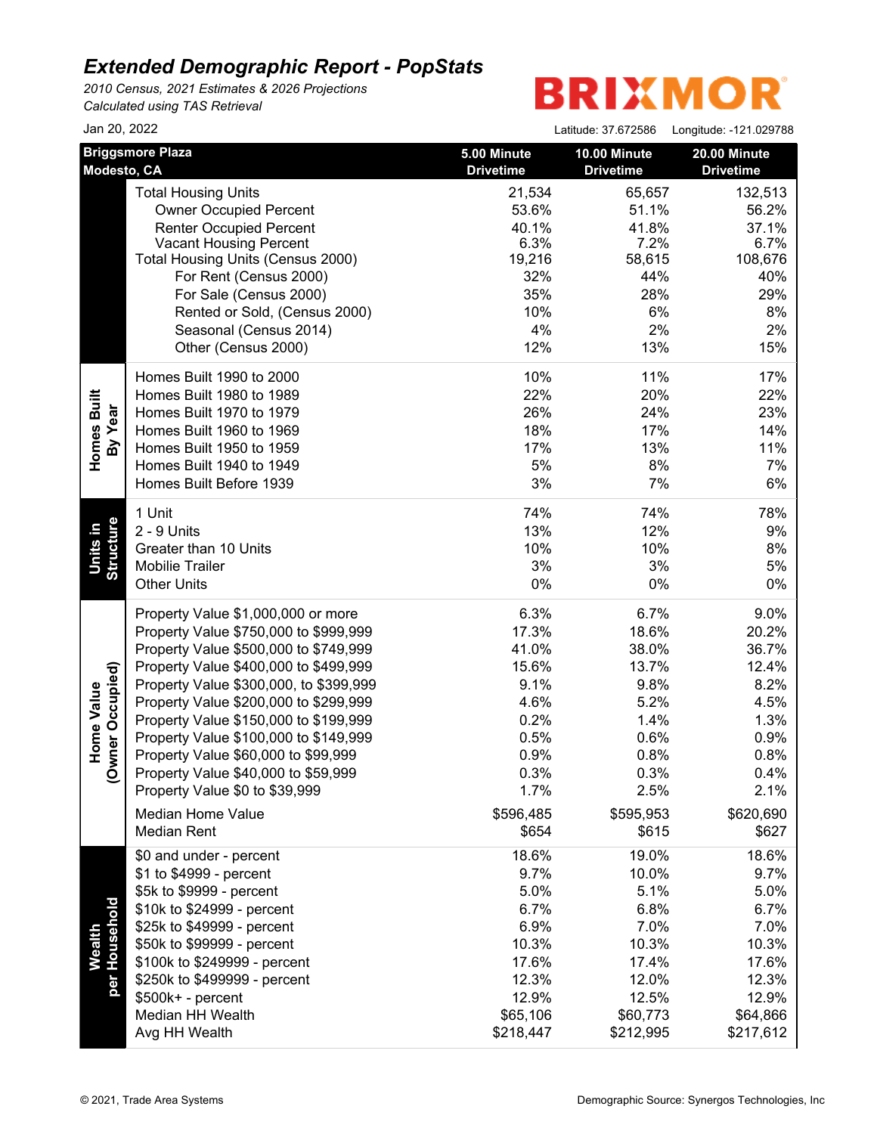*2010 Census, 2021 Estimates & 2026 Projections Calculated using TAS Retrieval*

| Jan 20, 2022                   |                                        |                                 | Latitude: 37.672586              | Longitude: -121.029788           |
|--------------------------------|----------------------------------------|---------------------------------|----------------------------------|----------------------------------|
| Modesto, CA                    | <b>Briggsmore Plaza</b>                | 5.00 Minute<br><b>Drivetime</b> | 10.00 Minute<br><b>Drivetime</b> | 20.00 Minute<br><b>Drivetime</b> |
|                                | <b>Total Housing Units</b>             | 21,534                          | 65,657                           | 132,513                          |
|                                | <b>Owner Occupied Percent</b>          | 53.6%                           | 51.1%                            | 56.2%                            |
|                                | <b>Renter Occupied Percent</b>         | 40.1%                           | 41.8%                            | 37.1%                            |
|                                | <b>Vacant Housing Percent</b>          | 6.3%                            | 7.2%                             | 6.7%                             |
|                                | Total Housing Units (Census 2000)      | 19,216                          | 58,615                           | 108,676                          |
|                                | For Rent (Census 2000)                 | 32%                             | 44%                              | 40%                              |
|                                | For Sale (Census 2000)                 | 35%                             | 28%                              | 29%                              |
|                                | Rented or Sold, (Census 2000)          | 10%                             | 6%                               | 8%                               |
|                                | Seasonal (Census 2014)                 | 4%                              | 2%                               | 2%                               |
|                                | Other (Census 2000)                    | 12%                             | 13%                              | 15%                              |
|                                | Homes Built 1990 to 2000               | 10%                             | 11%                              | 17%                              |
|                                | Homes Built 1980 to 1989               | 22%                             | 20%                              | 22%                              |
| Homes Built<br>By Year         | Homes Built 1970 to 1979               | 26%                             | 24%                              | 23%                              |
|                                | Homes Built 1960 to 1969               | 18%                             | 17%                              | 14%                              |
|                                | Homes Built 1950 to 1959               | 17%                             | 13%                              | 11%                              |
|                                | Homes Built 1940 to 1949               | 5%                              | 8%                               | 7%                               |
|                                | Homes Built Before 1939                | 3%                              | 7%                               | 6%                               |
|                                | 1 Unit                                 | 74%                             | 74%                              | 78%                              |
| <b>Structure</b><br>Units in   | 2 - 9 Units                            | 13%                             | 12%                              | 9%                               |
|                                | Greater than 10 Units                  | 10%                             | 10%                              | 8%                               |
|                                | <b>Mobilie Trailer</b>                 | 3%                              | 3%                               | 5%                               |
|                                | <b>Other Units</b>                     | 0%                              | 0%                               | $0\%$                            |
|                                | Property Value \$1,000,000 or more     | 6.3%                            | 6.7%                             | 9.0%                             |
|                                | Property Value \$750,000 to \$999,999  | 17.3%                           | 18.6%                            | 20.2%                            |
|                                | Property Value \$500,000 to \$749,999  | 41.0%                           | 38.0%                            | 36.7%                            |
|                                | Property Value \$400,000 to \$499,999  | 15.6%                           | 13.7%                            | 12.4%                            |
| vner Occupied)                 | Property Value \$300,000, to \$399,999 | 9.1%                            | 9.8%                             | 8.2%                             |
|                                | Property Value \$200,000 to \$299,999  | 4.6%                            | 5.2%                             | 4.5%                             |
|                                | Property Value \$150,000 to \$199,999  | 0.2%                            | 1.4%                             | 1.3%                             |
| Home Value                     | Property Value \$100,000 to \$149,999  | 0.5%                            | 0.6%                             | 0.9%                             |
|                                | Property Value \$60,000 to \$99,999    | 0.9%                            | 0.8%                             | 0.8%                             |
| $\check{\mathcal{S}}$          | Property Value \$40,000 to \$59,999    | 0.3%                            | 0.3%                             | 0.4%                             |
|                                | Property Value \$0 to \$39,999         | 1.7%                            | 2.5%                             | 2.1%                             |
|                                | Median Home Value                      | \$596,485                       | \$595,953                        | \$620,690                        |
|                                | <b>Median Rent</b>                     | \$654                           | \$615                            | \$627                            |
|                                | \$0 and under - percent                | 18.6%                           | 19.0%                            | 18.6%                            |
|                                | \$1 to \$4999 - percent                | 9.7%                            | 10.0%                            | 9.7%                             |
|                                | \$5k to \$9999 - percent               | 5.0%                            | 5.1%                             | 5.0%                             |
|                                | \$10k to \$24999 - percent             | 6.7%                            | 6.8%                             | 6.7%                             |
|                                | \$25k to \$49999 - percent             | 6.9%                            | 7.0%                             | 7.0%                             |
|                                | \$50k to \$99999 - percent             | 10.3%                           | 10.3%                            | 10.3%                            |
| per Household<br><b>Wealth</b> | \$100k to \$249999 - percent           | 17.6%                           | 17.4%                            | 17.6%                            |
|                                | \$250k to \$499999 - percent           | 12.3%                           | 12.0%                            | 12.3%                            |
|                                | $$500k+ - percent$                     | 12.9%                           | 12.5%                            | 12.9%                            |
|                                | Median HH Wealth                       | \$65,106                        | \$60,773                         | \$64,866                         |
|                                | Avg HH Wealth                          | \$218,447                       | \$212,995                        | \$217,612                        |
|                                |                                        |                                 |                                  |                                  |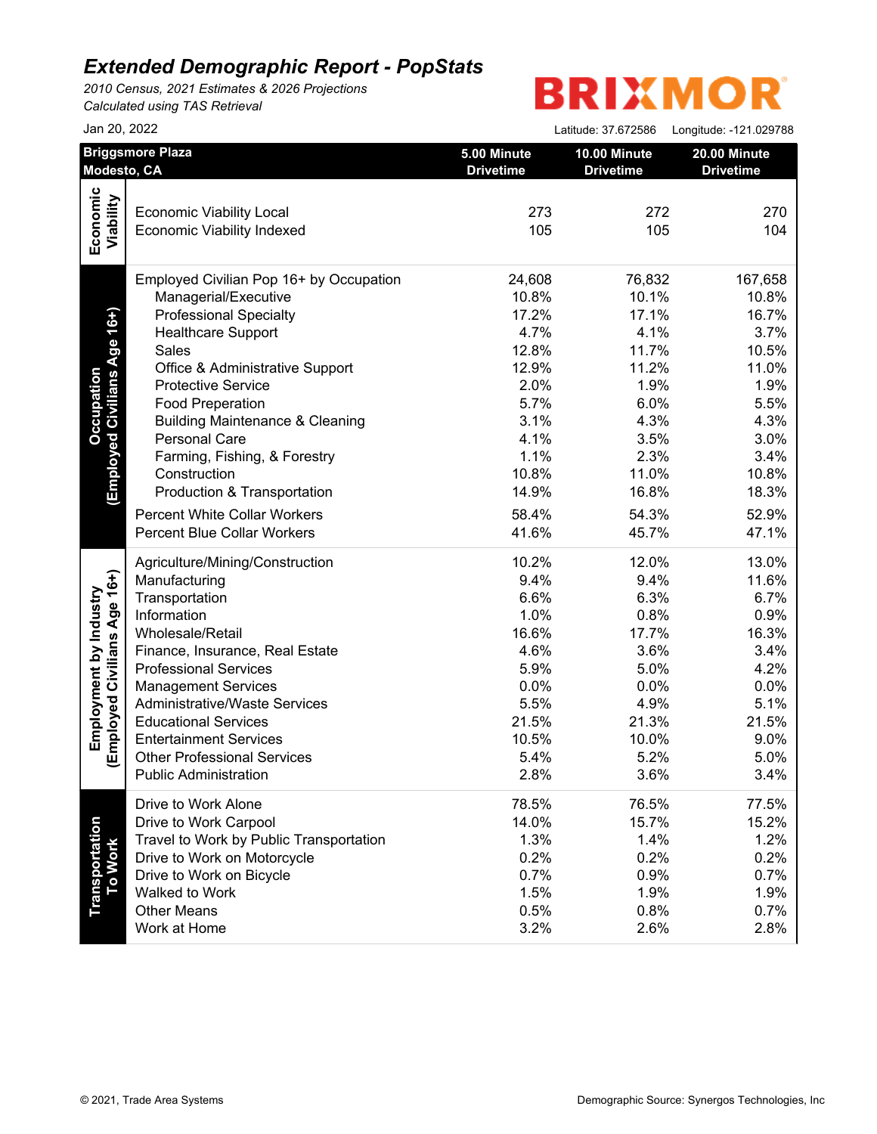*2010 Census, 2021 Estimates & 2026 Projections Calculated using TAS Retrieval*

| Jan 20, 2022                            |                                                                                                                                                                                                                                                                                                                                                                                                                                                                                                                                                                                                                   | Latitude: 37.672586                                                                                                                                                 | Longitude: -121.029788                                                                                                                                                                                                                                                                                             |
|-----------------------------------------|-------------------------------------------------------------------------------------------------------------------------------------------------------------------------------------------------------------------------------------------------------------------------------------------------------------------------------------------------------------------------------------------------------------------------------------------------------------------------------------------------------------------------------------------------------------------------------------------------------------------|---------------------------------------------------------------------------------------------------------------------------------------------------------------------|--------------------------------------------------------------------------------------------------------------------------------------------------------------------------------------------------------------------------------------------------------------------------------------------------------------------|
| <b>Briggsmore Plaza</b><br>Modesto, CA  | 5.00 Minute<br><b>Drivetime</b>                                                                                                                                                                                                                                                                                                                                                                                                                                                                                                                                                                                   | 10.00 Minute<br><b>Drivetime</b>                                                                                                                                    | 20.00 Minute<br><b>Drivetime</b>                                                                                                                                                                                                                                                                                   |
|                                         |                                                                                                                                                                                                                                                                                                                                                                                                                                                                                                                                                                                                                   |                                                                                                                                                                     |                                                                                                                                                                                                                                                                                                                    |
|                                         |                                                                                                                                                                                                                                                                                                                                                                                                                                                                                                                                                                                                                   |                                                                                                                                                                     | 270                                                                                                                                                                                                                                                                                                                |
|                                         | 105                                                                                                                                                                                                                                                                                                                                                                                                                                                                                                                                                                                                               |                                                                                                                                                                     | 104                                                                                                                                                                                                                                                                                                                |
|                                         |                                                                                                                                                                                                                                                                                                                                                                                                                                                                                                                                                                                                                   |                                                                                                                                                                     |                                                                                                                                                                                                                                                                                                                    |
| Employed Civilian Pop 16+ by Occupation | 24,608                                                                                                                                                                                                                                                                                                                                                                                                                                                                                                                                                                                                            |                                                                                                                                                                     | 167,658                                                                                                                                                                                                                                                                                                            |
|                                         |                                                                                                                                                                                                                                                                                                                                                                                                                                                                                                                                                                                                                   |                                                                                                                                                                     | 10.8%                                                                                                                                                                                                                                                                                                              |
|                                         |                                                                                                                                                                                                                                                                                                                                                                                                                                                                                                                                                                                                                   |                                                                                                                                                                     | 16.7%                                                                                                                                                                                                                                                                                                              |
|                                         |                                                                                                                                                                                                                                                                                                                                                                                                                                                                                                                                                                                                                   |                                                                                                                                                                     | 3.7%                                                                                                                                                                                                                                                                                                               |
|                                         |                                                                                                                                                                                                                                                                                                                                                                                                                                                                                                                                                                                                                   |                                                                                                                                                                     | 10.5%                                                                                                                                                                                                                                                                                                              |
|                                         |                                                                                                                                                                                                                                                                                                                                                                                                                                                                                                                                                                                                                   |                                                                                                                                                                     | 11.0%                                                                                                                                                                                                                                                                                                              |
|                                         |                                                                                                                                                                                                                                                                                                                                                                                                                                                                                                                                                                                                                   |                                                                                                                                                                     | 1.9%                                                                                                                                                                                                                                                                                                               |
|                                         |                                                                                                                                                                                                                                                                                                                                                                                                                                                                                                                                                                                                                   |                                                                                                                                                                     | 5.5%                                                                                                                                                                                                                                                                                                               |
|                                         |                                                                                                                                                                                                                                                                                                                                                                                                                                                                                                                                                                                                                   |                                                                                                                                                                     | 4.3%                                                                                                                                                                                                                                                                                                               |
|                                         |                                                                                                                                                                                                                                                                                                                                                                                                                                                                                                                                                                                                                   |                                                                                                                                                                     | 3.0%                                                                                                                                                                                                                                                                                                               |
| Farming, Fishing, & Forestry            |                                                                                                                                                                                                                                                                                                                                                                                                                                                                                                                                                                                                                   |                                                                                                                                                                     | 3.4%                                                                                                                                                                                                                                                                                                               |
| Construction                            | 10.8%                                                                                                                                                                                                                                                                                                                                                                                                                                                                                                                                                                                                             |                                                                                                                                                                     | 10.8%                                                                                                                                                                                                                                                                                                              |
| Production & Transportation             | 14.9%                                                                                                                                                                                                                                                                                                                                                                                                                                                                                                                                                                                                             |                                                                                                                                                                     | 18.3%                                                                                                                                                                                                                                                                                                              |
|                                         |                                                                                                                                                                                                                                                                                                                                                                                                                                                                                                                                                                                                                   |                                                                                                                                                                     | 52.9%                                                                                                                                                                                                                                                                                                              |
| <b>Percent Blue Collar Workers</b>      | 41.6%                                                                                                                                                                                                                                                                                                                                                                                                                                                                                                                                                                                                             |                                                                                                                                                                     | 47.1%                                                                                                                                                                                                                                                                                                              |
| Agriculture/Mining/Construction         | 10.2%                                                                                                                                                                                                                                                                                                                                                                                                                                                                                                                                                                                                             |                                                                                                                                                                     | 13.0%                                                                                                                                                                                                                                                                                                              |
| Manufacturing                           | 9.4%                                                                                                                                                                                                                                                                                                                                                                                                                                                                                                                                                                                                              |                                                                                                                                                                     | 11.6%                                                                                                                                                                                                                                                                                                              |
| Transportation                          | 6.6%                                                                                                                                                                                                                                                                                                                                                                                                                                                                                                                                                                                                              |                                                                                                                                                                     | 6.7%                                                                                                                                                                                                                                                                                                               |
| Information                             | 1.0%                                                                                                                                                                                                                                                                                                                                                                                                                                                                                                                                                                                                              |                                                                                                                                                                     | 0.9%                                                                                                                                                                                                                                                                                                               |
| Wholesale/Retail                        | 16.6%                                                                                                                                                                                                                                                                                                                                                                                                                                                                                                                                                                                                             |                                                                                                                                                                     | 16.3%                                                                                                                                                                                                                                                                                                              |
|                                         | 4.6%                                                                                                                                                                                                                                                                                                                                                                                                                                                                                                                                                                                                              |                                                                                                                                                                     | 3.4%                                                                                                                                                                                                                                                                                                               |
| <b>Professional Services</b>            | 5.9%                                                                                                                                                                                                                                                                                                                                                                                                                                                                                                                                                                                                              |                                                                                                                                                                     | 4.2%                                                                                                                                                                                                                                                                                                               |
|                                         | 0.0%                                                                                                                                                                                                                                                                                                                                                                                                                                                                                                                                                                                                              |                                                                                                                                                                     | 0.0%                                                                                                                                                                                                                                                                                                               |
| <b>Administrative/Waste Services</b>    | 5.5%                                                                                                                                                                                                                                                                                                                                                                                                                                                                                                                                                                                                              |                                                                                                                                                                     | 5.1%                                                                                                                                                                                                                                                                                                               |
| <b>Educational Services</b>             |                                                                                                                                                                                                                                                                                                                                                                                                                                                                                                                                                                                                                   |                                                                                                                                                                     | 21.5%                                                                                                                                                                                                                                                                                                              |
|                                         |                                                                                                                                                                                                                                                                                                                                                                                                                                                                                                                                                                                                                   |                                                                                                                                                                     | 9.0%                                                                                                                                                                                                                                                                                                               |
| <b>Other Professional Services</b>      | 5.4%                                                                                                                                                                                                                                                                                                                                                                                                                                                                                                                                                                                                              |                                                                                                                                                                     | 5.0%                                                                                                                                                                                                                                                                                                               |
| <b>Public Administration</b>            | 2.8%                                                                                                                                                                                                                                                                                                                                                                                                                                                                                                                                                                                                              |                                                                                                                                                                     | 3.4%                                                                                                                                                                                                                                                                                                               |
| Drive to Work Alone                     | 78.5%                                                                                                                                                                                                                                                                                                                                                                                                                                                                                                                                                                                                             |                                                                                                                                                                     | 77.5%                                                                                                                                                                                                                                                                                                              |
|                                         |                                                                                                                                                                                                                                                                                                                                                                                                                                                                                                                                                                                                                   |                                                                                                                                                                     | 15.2%                                                                                                                                                                                                                                                                                                              |
|                                         |                                                                                                                                                                                                                                                                                                                                                                                                                                                                                                                                                                                                                   |                                                                                                                                                                     | 1.2%                                                                                                                                                                                                                                                                                                               |
|                                         |                                                                                                                                                                                                                                                                                                                                                                                                                                                                                                                                                                                                                   |                                                                                                                                                                     | 0.2%                                                                                                                                                                                                                                                                                                               |
| Drive to Work on Bicycle                |                                                                                                                                                                                                                                                                                                                                                                                                                                                                                                                                                                                                                   |                                                                                                                                                                     | 0.7%                                                                                                                                                                                                                                                                                                               |
|                                         |                                                                                                                                                                                                                                                                                                                                                                                                                                                                                                                                                                                                                   |                                                                                                                                                                     | 1.9%                                                                                                                                                                                                                                                                                                               |
|                                         |                                                                                                                                                                                                                                                                                                                                                                                                                                                                                                                                                                                                                   |                                                                                                                                                                     | 0.7%                                                                                                                                                                                                                                                                                                               |
| Work at Home                            | 3.2%                                                                                                                                                                                                                                                                                                                                                                                                                                                                                                                                                                                                              | 2.6%                                                                                                                                                                | 2.8%                                                                                                                                                                                                                                                                                                               |
|                                         | <b>Economic Viability Local</b><br><b>Economic Viability Indexed</b><br>Managerial/Executive<br><b>Professional Specialty</b><br><b>Healthcare Support</b><br>Sales<br>Office & Administrative Support<br><b>Protective Service</b><br><b>Food Preperation</b><br><b>Building Maintenance &amp; Cleaning</b><br>Personal Care<br><b>Percent White Collar Workers</b><br>Finance, Insurance, Real Estate<br><b>Management Services</b><br><b>Entertainment Services</b><br>Drive to Work Carpool<br>Travel to Work by Public Transportation<br>Drive to Work on Motorcycle<br>Walked to Work<br><b>Other Means</b> | 273<br>10.8%<br>17.2%<br>4.7%<br>12.8%<br>12.9%<br>2.0%<br>5.7%<br>3.1%<br>4.1%<br>1.1%<br>58.4%<br>21.5%<br>10.5%<br>14.0%<br>1.3%<br>0.2%<br>0.7%<br>1.5%<br>0.5% | 272<br>105<br>76,832<br>10.1%<br>17.1%<br>4.1%<br>11.7%<br>11.2%<br>1.9%<br>6.0%<br>4.3%<br>3.5%<br>2.3%<br>11.0%<br>16.8%<br>54.3%<br>45.7%<br>12.0%<br>9.4%<br>6.3%<br>0.8%<br>17.7%<br>3.6%<br>5.0%<br>0.0%<br>4.9%<br>21.3%<br>10.0%<br>5.2%<br>3.6%<br>76.5%<br>15.7%<br>1.4%<br>0.2%<br>0.9%<br>1.9%<br>0.8% |